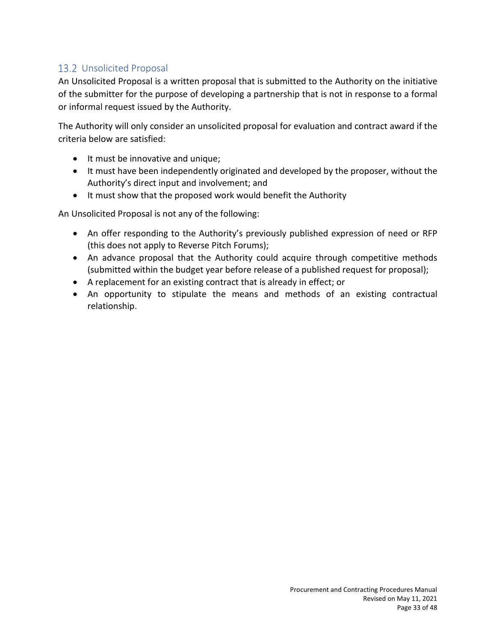## 13.2 Unsolicited Proposal

An Unsolicited Proposal is a written proposal that is submitted to the Authority on the initiative of the submitter for the purpose of developing a partnership that is not in response to a formal or informal request issued by the Authority.

The Authority will only consider an unsolicited proposal for evaluation and contract award if the criteria below are satisfied:

- It must be innovative and unique;
- It must have been independently originated and developed by the proposer, without the Authority's direct input and involvement; and
- It must show that the proposed work would benefit the Authority

An Unsolicited Proposal is not any of the following:

- An offer responding to the Authority's previously published expression of need or RFP (this does not apply to Reverse Pitch Forums);
- An advance proposal that the Authority could acquire through competitive methods (submitted within the budget year before release of a published request for proposal);
- A replacement for an existing contract that is already in effect; or
- An opportunity to stipulate the means and methods of an existing contractual relationship.